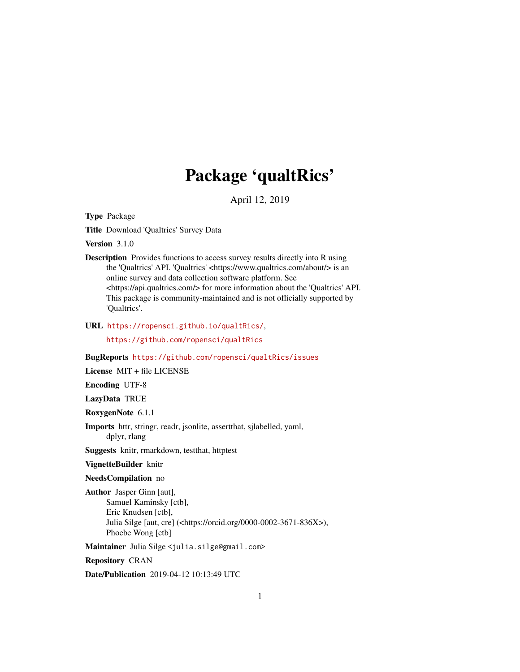# Package 'qualtRics'

April 12, 2019

<span id="page-0-0"></span>Type Package

Title Download 'Qualtrics' Survey Data

Version 3.1.0

Description Provides functions to access survey results directly into R using the 'Qualtrics' API. 'Qualtrics' <https://www.qualtrics.com/about/> is an online survey and data collection software platform. See <https://api.qualtrics.com/> for more information about the 'Qualtrics' API. This package is community-maintained and is not officially supported by 'Qualtrics'.

URL <https://ropensci.github.io/qualtRics/>,

<https://github.com/ropensci/qualtRics>

BugReports <https://github.com/ropensci/qualtRics/issues>

License MIT + file LICENSE

Encoding UTF-8

LazyData TRUE

RoxygenNote 6.1.1

Imports httr, stringr, readr, jsonlite, assertthat, sjlabelled, yaml, dplyr, rlang

Suggests knitr, rmarkdown, testthat, httptest

VignetteBuilder knitr

NeedsCompilation no

Author Jasper Ginn [aut], Samuel Kaminsky [ctb], Eric Knudsen [ctb], Julia Silge [aut, cre] (<https://orcid.org/0000-0002-3671-836X>), Phoebe Wong [ctb]

Maintainer Julia Silge <julia.silge@gmail.com>

Repository CRAN

Date/Publication 2019-04-12 10:13:49 UTC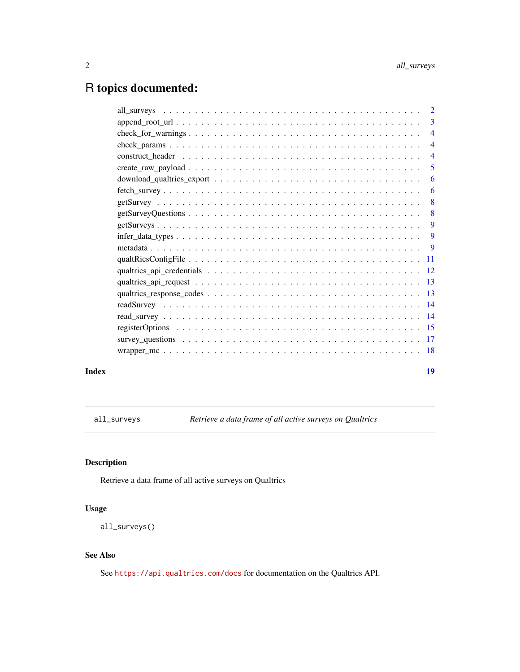# <span id="page-1-0"></span>R topics documented:

|                                                                                                                        | $\overline{2}$ |
|------------------------------------------------------------------------------------------------------------------------|----------------|
|                                                                                                                        | 3              |
| $check\_for\_warnings \dots \dots \dots \dots \dots \dots \dots \dots \dots \dots \dots \dots \dots \dots \dots \dots$ | $\overline{4}$ |
|                                                                                                                        | 4              |
|                                                                                                                        | $\overline{4}$ |
|                                                                                                                        | 5              |
|                                                                                                                        | 6              |
|                                                                                                                        | 6              |
|                                                                                                                        | 8              |
|                                                                                                                        | 8              |
|                                                                                                                        | 9              |
| $infer\_data\_types \dots \dots \dots \dots \dots \dots \dots \dots \dots \dots \dots \dots \dots \dots$               | 9              |
|                                                                                                                        | 9              |
|                                                                                                                        |                |
|                                                                                                                        |                |
|                                                                                                                        | - 13           |
|                                                                                                                        |                |
|                                                                                                                        |                |
|                                                                                                                        |                |
|                                                                                                                        |                |
|                                                                                                                        |                |
|                                                                                                                        |                |
|                                                                                                                        |                |

#### **Index** 2008 **[19](#page-18-0)99**

<span id="page-1-1"></span>all\_surveys *Retrieve a data frame of all active surveys on Qualtrics*

# Description

Retrieve a data frame of all active surveys on Qualtrics

# Usage

all\_surveys()

# See Also

See <https://api.qualtrics.com/docs> for documentation on the Qualtrics API.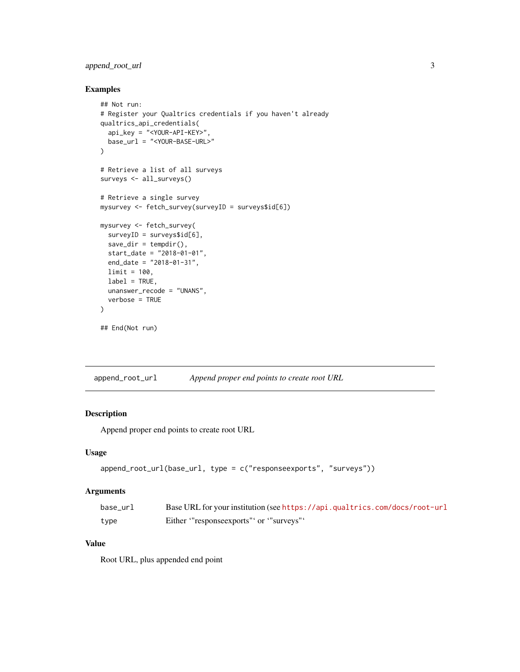# <span id="page-2-0"></span>append\_root\_url 3

# Examples

```
## Not run:
# Register your Qualtrics credentials if you haven't already
qualtrics_api_credentials(
  api_key = "<YOUR-API-KEY>",
  base_url = "<YOUR-BASE-URL>"
\lambda# Retrieve a list of all surveys
surveys <- all_surveys()
# Retrieve a single survey
mysurvey <- fetch_survey(surveyID = surveys$id[6])
mysurvey <- fetch_survey(
  surveyID = surveys$id[6],save\_dir = tempdir(),
 start_date = "2018-01-01",
  end_date = "2018-01-31",
 limit = 100,
  label = TRUE,
  unanswer_recode = "UNANS",
  verbose = TRUE
)
## End(Not run)
```
<span id="page-2-1"></span>append\_root\_url *Append proper end points to create root URL*

# Description

Append proper end points to create root URL

# Usage

```
append_root_url(base_url, type = c("responseexports", "surveys"))
```
# Arguments

| base url | Base URL for your institution (see https://api.qualtrics.com/docs/root-url |
|----------|----------------------------------------------------------------------------|
| type     | Either "response exports" or "surveys"                                     |

# Value

Root URL, plus appended end point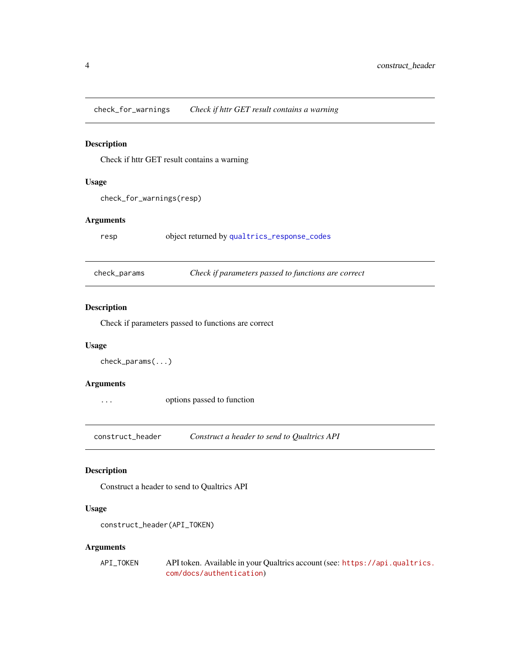<span id="page-3-0"></span>check\_for\_warnings *Check if httr GET result contains a warning*

# Description

Check if httr GET result contains a warning

#### Usage

check\_for\_warnings(resp)

# Arguments

resp object returned by [qualtrics\\_response\\_codes](#page-12-1)

| check_params | Check if parameters passed to functions are correct |
|--------------|-----------------------------------------------------|
|--------------|-----------------------------------------------------|

# Description

Check if parameters passed to functions are correct

# Usage

```
check_params(...)
```
### Arguments

... options passed to function

construct\_header *Construct a header to send to Qualtrics API*

# Description

Construct a header to send to Qualtrics API

# Usage

construct\_header(API\_TOKEN)

| API_TOKEN | API token. Available in your Qualtrics account (see: https://api.qualtrics. |
|-----------|-----------------------------------------------------------------------------|
|           | com/docs/authentication)                                                    |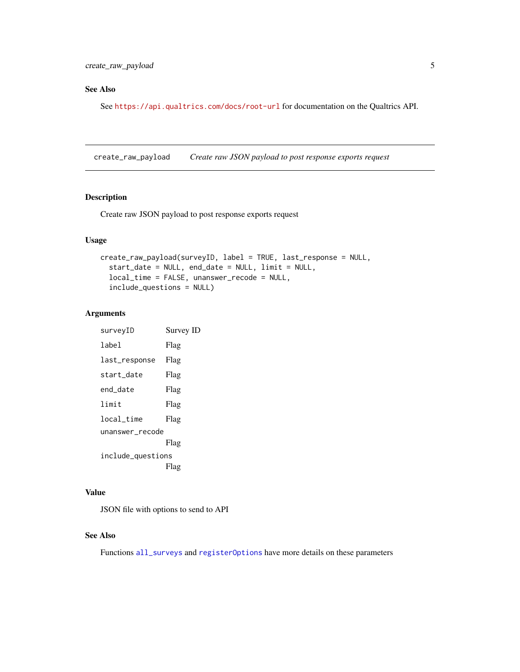# <span id="page-4-0"></span>See Also

See <https://api.qualtrics.com/docs/root-url> for documentation on the Qualtrics API.

<span id="page-4-1"></span>create\_raw\_payload *Create raw JSON payload to post response exports request*

# Description

Create raw JSON payload to post response exports request

# Usage

```
create_raw_payload(surveyID, label = TRUE, last_response = NULL,
  start_date = NULL, end_date = NULL, limit = NULL,
  local_time = FALSE, unanswer_recode = NULL,
  include_questions = NULL)
```
#### Arguments

| Survey ID         |
|-------------------|
| Flag              |
| Flag              |
| Flag              |
| Flag              |
| Flag              |
| Flag              |
| unanswer_recode   |
| Flag              |
| include_questions |
| Flag              |
|                   |

# Value

JSON file with options to send to API

# See Also

Functions [all\\_surveys](#page-1-1) and [registerOptions](#page-14-1) have more details on these parameters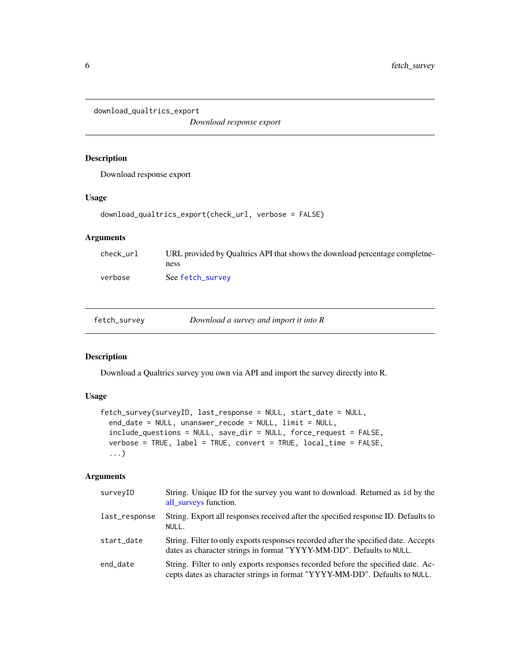<span id="page-5-0"></span>download\_qualtrics\_export

*Download response export*

# Description

Download response export

# Usage

```
download_qualtrics_export(check_url, verbose = FALSE)
```
# Arguments

| check url | URL provided by Qualtrics API that shows the download percentage completne- |
|-----------|-----------------------------------------------------------------------------|
|           | ness                                                                        |
| verbose   | See fetch_survey                                                            |

<span id="page-5-1"></span>

| fetch_survey | Download a survey and import it into $R$ |
|--------------|------------------------------------------|
|              |                                          |

# Description

Download a Qualtrics survey you own via API and import the survey directly into R.

# Usage

```
fetch_survey(surveyID, last_response = NULL, start_date = NULL,
 end_date = NULL, unanswer_recode = NULL, limit = NULL,
  include_questions = NULL, save_dir = NULL, force_request = FALSE,
  verbose = TRUE, label = TRUE, convert = TRUE, local_time = FALSE,
  ...)
```

| surveyID      | String. Unique ID for the survey you want to download. Returned as id by the<br>all_surveys function.                                                          |
|---------------|----------------------------------------------------------------------------------------------------------------------------------------------------------------|
| last_response | String. Export all responses received after the specified response ID. Defaults to<br>NULL.                                                                    |
| start_date    | String. Filter to only exports responses recorded after the specified date. Accepts<br>dates as character strings in format "YYYY-MM-DD". Defaults to NULL.    |
| end_date      | String. Filter to only exports responses recorded before the specified date. Ac-<br>cepts dates as character strings in format "YYYY-MM-DD". Defaults to NULL. |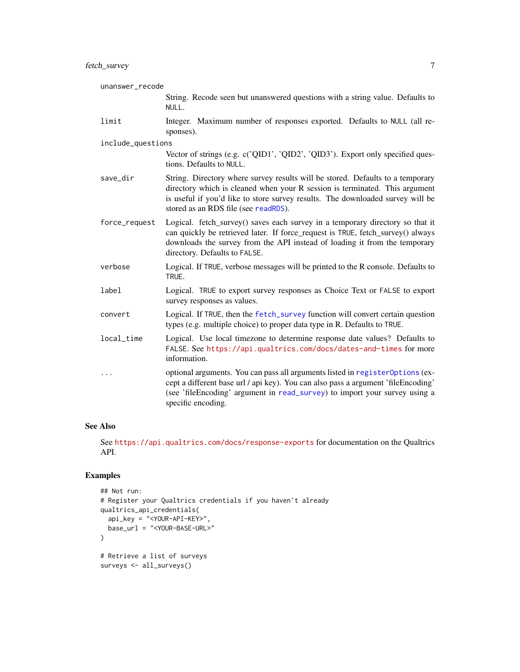# <span id="page-6-0"></span>fetch\_survey 7

| unanswer_recode   |                                                                                                                                                                                                                                                                                         |
|-------------------|-----------------------------------------------------------------------------------------------------------------------------------------------------------------------------------------------------------------------------------------------------------------------------------------|
|                   | String. Recode seen but unanswered questions with a string value. Defaults to<br>NULL.                                                                                                                                                                                                  |
| limit             | Integer. Maximum number of responses exported. Defaults to NULL (all re-<br>sponses).                                                                                                                                                                                                   |
| include_questions |                                                                                                                                                                                                                                                                                         |
|                   | Vector of strings (e.g. c('QID1', 'QID2', 'QID3'). Export only specified ques-<br>tions. Defaults to NULL.                                                                                                                                                                              |
| save_dir          | String. Directory where survey results will be stored. Defaults to a temporary<br>directory which is cleaned when your R session is terminated. This argument<br>is useful if you'd like to store survey results. The downloaded survey will be<br>stored as an RDS file (see readRDS). |
| force_request     | Logical. fetch_survey() saves each survey in a temporary directory so that it<br>can quickly be retrieved later. If force_request is TRUE, fetch_survey() always<br>downloads the survey from the API instead of loading it from the temporary<br>directory. Defaults to FALSE.         |
| verbose           | Logical. If TRUE, verbose messages will be printed to the R console. Defaults to<br>TRUE.                                                                                                                                                                                               |
| label             | Logical. TRUE to export survey responses as Choice Text or FALSE to export<br>survey responses as values.                                                                                                                                                                               |
| convert           | Logical. If TRUE, then the fetch_survey function will convert certain question<br>types (e.g. multiple choice) to proper data type in R. Defaults to TRUE.                                                                                                                              |
| local_time        | Logical. Use local timezone to determine response date values? Defaults to<br>FALSE. See https://api.qualtrics.com/docs/dates-and-times for more<br>information.                                                                                                                        |
| .                 | optional arguments. You can pass all arguments listed in register Options (ex-<br>cept a different base url / api key). You can also pass a argument 'fileEncoding'<br>(see 'fileEncoding' argument in read_survey) to import your survey using a<br>specific encoding.                 |

## See Also

See <https://api.qualtrics.com/docs/response-exports> for documentation on the Qualtrics API.

```
## Not run:
# Register your Qualtrics credentials if you haven't already
qualtrics_api_credentials(
 api_key = "<YOUR-API-KEY>",
 base_url = "<YOUR-BASE-URL>"
\mathcal{L}# Retrieve a list of surveys
surveys <- all_surveys()
```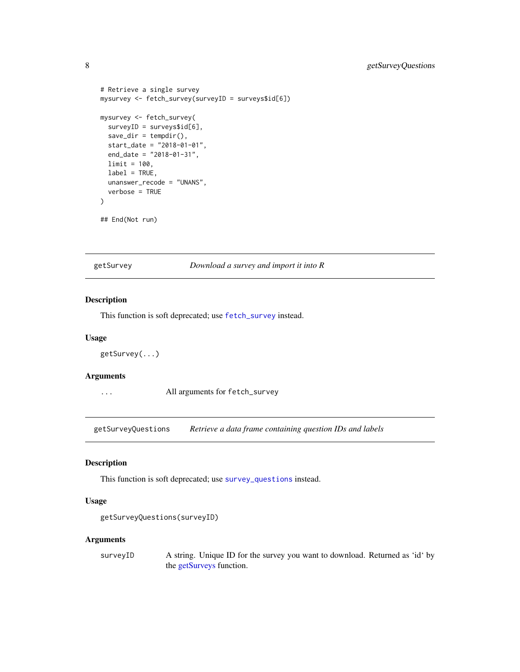```
# Retrieve a single survey
mysurvey <- fetch_survey(surveyID = surveys$id[6])
mysurvey <- fetch_survey(
  surveyID = surveys$id[6],save\_dir = tempdir(),start_date = "2018-01-01",
  end_date = "2018-01-31",
  limit = 100,
  label = TRUE,
  unanswer_recode = "UNANS",
  verbose = TRUE
\mathcal{L}## End(Not run)
```
<span id="page-7-1"></span>getSurvey *Download a survey and import it into R*

# Description

This function is soft deprecated; use [fetch\\_survey](#page-5-1) instead.

#### Usage

```
getSurvey(...)
```
#### Arguments

... All arguments for fetch\_survey

getSurveyQuestions *Retrieve a data frame containing question IDs and labels*

# Description

This function is soft deprecated; use [survey\\_questions](#page-16-1) instead.

#### Usage

```
getSurveyQuestions(surveyID)
```
#### Arguments

surveyID A string. Unique ID for the survey you want to download. Returned as 'id' by the [getSurveys](#page-8-1) function.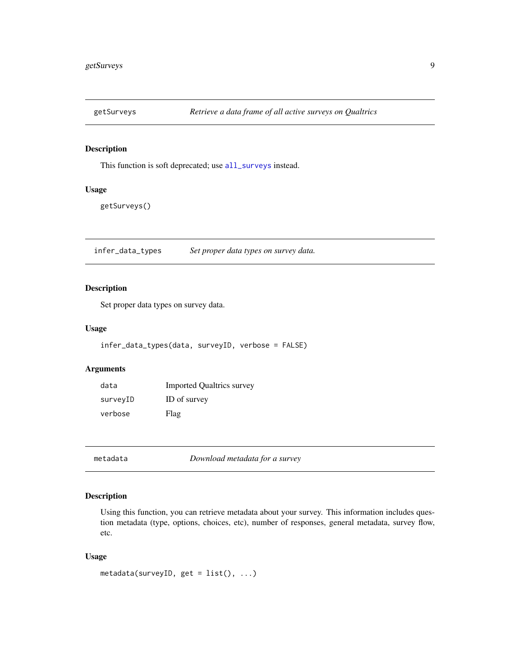<span id="page-8-1"></span><span id="page-8-0"></span>

# Description

This function is soft deprecated; use [all\\_surveys](#page-1-1) instead.

# Usage

getSurveys()

infer\_data\_types *Set proper data types on survey data.*

# Description

Set proper data types on survey data.

#### Usage

infer\_data\_types(data, surveyID, verbose = FALSE)

# Arguments

| data     | <b>Imported Qualtrics survey</b> |
|----------|----------------------------------|
| surveyID | ID of survey                     |
| verbose  | Flag                             |

metadata *Download metadata for a survey*

# Description

Using this function, you can retrieve metadata about your survey. This information includes question metadata (type, options, choices, etc), number of responses, general metadata, survey flow, etc.

#### Usage

```
metadata(surveyID, get = list(), ...)
```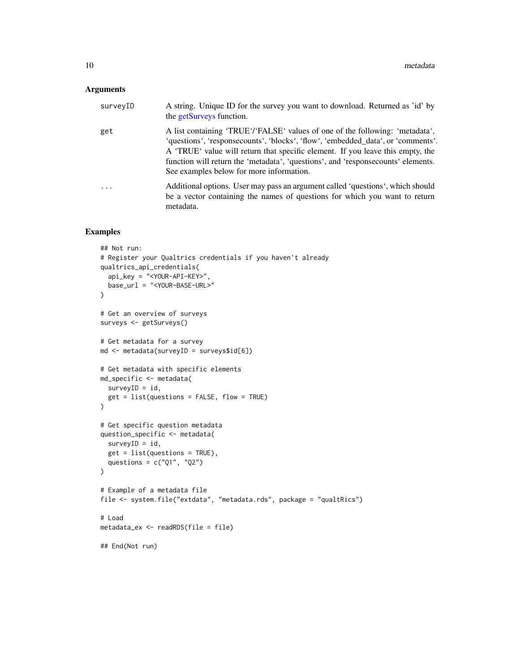# <span id="page-9-0"></span>Arguments

| surveyID | A string. Unique ID for the survey you want to download. Returned as 'id' by<br>the getSurveys function.                                                                                                                                                                                                                                                                            |
|----------|-------------------------------------------------------------------------------------------------------------------------------------------------------------------------------------------------------------------------------------------------------------------------------------------------------------------------------------------------------------------------------------|
| get      | A list containing 'TRUE'/'FALSE' values of one of the following: 'metadata',<br>'questions', 'responsecounts', 'blocks', 'flow', 'embedded_data', or 'comments'.<br>A 'TRUE' value will return that specific element. If you leave this empty, the<br>function will return the 'metadata', 'questions', and 'response counts' elements.<br>See examples below for more information. |
| .        | Additional options. User may pass an argument called 'questions', which should<br>be a vector containing the names of questions for which you want to return<br>metadata.                                                                                                                                                                                                           |

```
## Not run:
# Register your Qualtrics credentials if you haven't already
qualtrics_api_credentials(
  api_key = "<YOUR-API-KEY>",
  base_url = "<YOUR-BASE-URL>"
\lambda# Get an overview of surveys
surveys <- getSurveys()
# Get metadata for a survey
md <- metadata(surveyID = surveys$id[6])
# Get metadata with specific elements
md_specific <- metadata(
 surveyID = id,
  get = list(questions = FALSE, flow = TRUE)
\mathcal{L}# Get specific question metadata
question_specific <- metadata(
  surveyID = id,
  get = list(questions = TRUE),
 questions = c("Q1", "Q2")
\mathcal{L}# Example of a metadata file
file <- system.file("extdata", "metadata.rds", package = "qualtRics")
# Load
metadata_ex <- readRDS(file = file)
## End(Not run)
```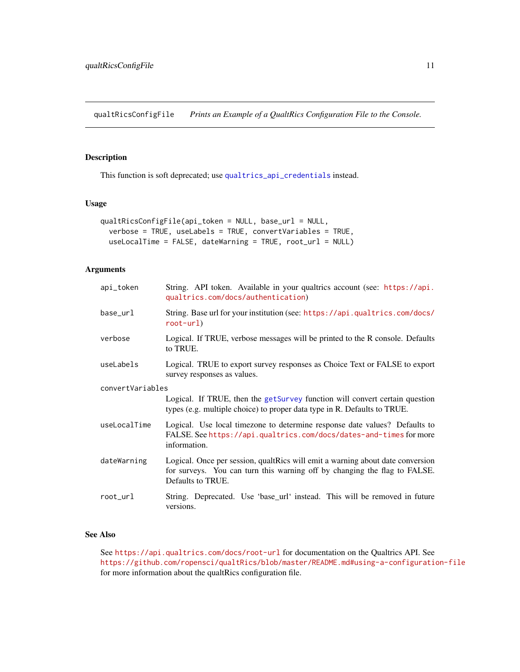<span id="page-10-1"></span><span id="page-10-0"></span>qualtRicsConfigFile *Prints an Example of a QualtRics Configuration File to the Console.*

# Description

This function is soft deprecated; use [qualtrics\\_api\\_credentials](#page-11-1) instead.

#### Usage

```
qualtRicsConfigFile(api_token = NULL, base_url = NULL,
  verbose = TRUE, useLabels = TRUE, convertVariables = TRUE,
  useLocalTime = FALSE, dateWarning = TRUE, root_url = NULL)
```
#### Arguments

| api_token        | String. API token. Available in your qualtrics account (see: https://api.<br>qualtrics.com/docs/authentication)                                                                  |  |
|------------------|----------------------------------------------------------------------------------------------------------------------------------------------------------------------------------|--|
| base_url         | String. Base url for your institution (see: https://api.qualtrics.com/docs/<br>$root-url$                                                                                        |  |
| verbose          | Logical. If TRUE, verbose messages will be printed to the R console. Defaults<br>to TRUE.                                                                                        |  |
| useLabels        | Logical. TRUE to export survey responses as Choice Text or FALSE to export<br>survey responses as values.                                                                        |  |
| convertVariables |                                                                                                                                                                                  |  |
|                  | Logical. If TRUE, then the getSurvey function will convert certain question<br>types (e.g. multiple choice) to proper data type in R. Defaults to TRUE.                          |  |
| useLocalTime     | Logical. Use local timezone to determine response date values? Defaults to<br>FALSE. See https://api.qualtrics.com/docs/dates-and-times for more<br>information.                 |  |
| dateWarning      | Logical. Once per session, qualtRics will emit a warning about date conversion<br>for surveys. You can turn this warning off by changing the flag to FALSE.<br>Defaults to TRUE. |  |
| root_url         | String. Deprecated. Use 'base_url' instead. This will be removed in future<br>versions.                                                                                          |  |

#### See Also

See <https://api.qualtrics.com/docs/root-url> for documentation on the Qualtrics API. See <https://github.com/ropensci/qualtRics/blob/master/README.md#using-a-configuration-file> for more information about the qualtRics configuration file.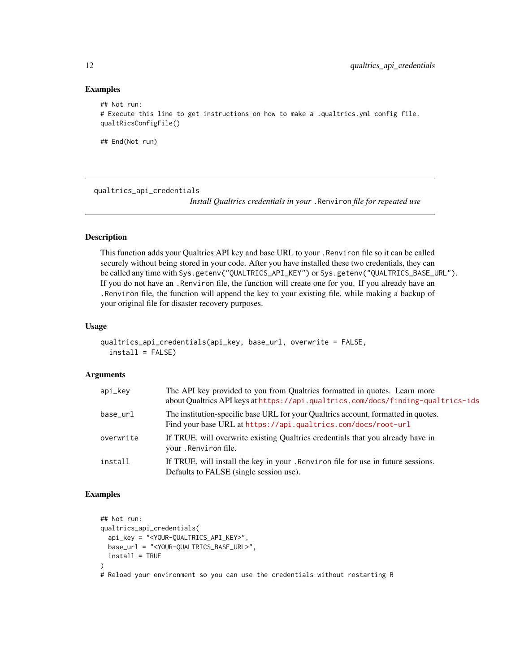#### Examples

```
## Not run:
# Execute this line to get instructions on how to make a .qualtrics.yml config file.
qualtRicsConfigFile()
```
## End(Not run)

<span id="page-11-1"></span>qualtrics\_api\_credentials

*Install Qualtrics credentials in your* .Renviron *file for repeated use*

# Description

This function adds your Qualtrics API key and base URL to your .Renviron file so it can be called securely without being stored in your code. After you have installed these two credentials, they can be called any time with Sys.getenv("QUALTRICS\_API\_KEY") or Sys.getenv("QUALTRICS\_BASE\_URL"). If you do not have an .Renviron file, the function will create one for you. If you already have an .Renviron file, the function will append the key to your existing file, while making a backup of your original file for disaster recovery purposes.

#### Usage

```
qualtrics_api_credentials(api_key, base_url, overwrite = FALSE,
  install = FALSE)
```
## **Arguments**

| api_key   | The API key provided to you from Qualtrics formatted in quotes. Learn more<br>about Qualtrics API keys at https://api.qualtrics.com/docs/finding-qualtrics-ids |
|-----------|----------------------------------------------------------------------------------------------------------------------------------------------------------------|
| base url  | The institution-specific base URL for your Qualtrics account, formatted in quotes.<br>Find your base URL at https://api.qualtrics.com/docs/root-url            |
| overwrite | If TRUE, will overwrite existing Qualtrics credentials that you already have in<br>your .Renviron file.                                                        |
| install   | If TRUE, will install the key in your . Renviron file for use in future sessions.<br>Defaults to FALSE (single session use).                                   |

```
## Not run:
qualtrics_api_credentials(
 api_key = "<YOUR-QUALTRICS_API_KEY>",
 base_url = "<YOUR-QUALTRICS_BASE_URL>",
 install = TRUE
)
# Reload your environment so you can use the credentials without restarting R
```
<span id="page-11-0"></span>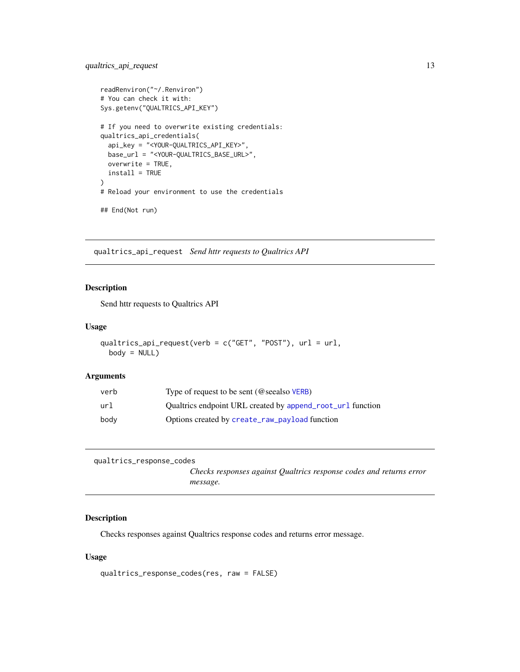```
readRenviron("~/.Renviron")
# You can check it with:
Sys.getenv("QUALTRICS_API_KEY")
# If you need to overwrite existing credentials:
qualtrics_api_credentials(
  api_key = "<YOUR-QUALTRICS_API_KEY>",
  base_url = "<YOUR-QUALTRICS_BASE_URL>",
  overwrite = TRUE,
  install = TRUE
)
# Reload your environment to use the credentials
## End(Not run)
```
qualtrics\_api\_request *Send httr requests to Qualtrics API*

# Description

Send httr requests to Qualtrics API

## Usage

```
qualtrics_api_request(verb = c("GET", "POST"), url = url,
 body = NULL
```
#### Arguments

| verb | Type of request to be sent ( $@$ see also $VERB$ )         |
|------|------------------------------------------------------------|
| url  | Qualtrics endpoint URL created by append_root_url function |
| body | Options created by create_raw_payload function             |

```
qualtrics_response_codes
```
*Checks responses against Qualtrics response codes and returns error message.*

# Description

Checks responses against Qualtrics response codes and returns error message.

#### Usage

```
qualtrics_response_codes(res, raw = FALSE)
```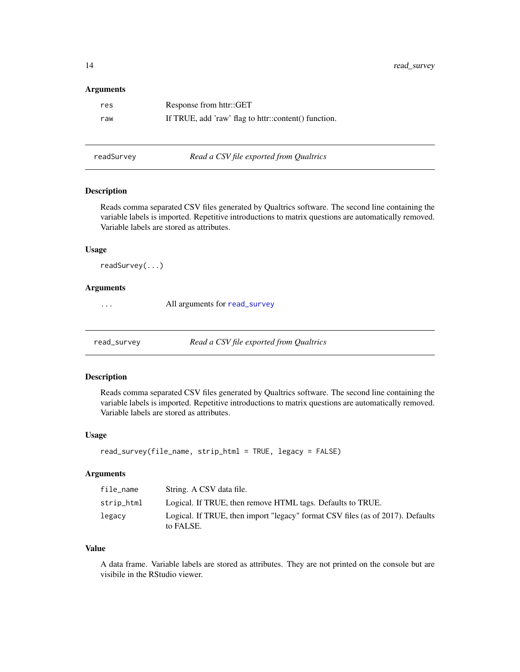#### <span id="page-13-0"></span>Arguments

| res | Response from httr::GET                              |
|-----|------------------------------------------------------|
| raw | If TRUE, add 'raw' flag to httr::content() function. |

readSurvey *Read a CSV file exported from Qualtrics*

# Description

Reads comma separated CSV files generated by Qualtrics software. The second line containing the variable labels is imported. Repetitive introductions to matrix questions are automatically removed. Variable labels are stored as attributes.

# Usage

readSurvey(...)

#### Arguments

... All arguments for [read\\_survey](#page-13-1)

<span id="page-13-1"></span>read\_survey *Read a CSV file exported from Qualtrics*

#### Description

Reads comma separated CSV files generated by Qualtrics software. The second line containing the variable labels is imported. Repetitive introductions to matrix questions are automatically removed. Variable labels are stored as attributes.

#### Usage

```
read_survey(file_name, strip_html = TRUE, legacy = FALSE)
```
#### Arguments

| file_name  | String. A CSV data file.                                                                    |
|------------|---------------------------------------------------------------------------------------------|
| strip_html | Logical. If TRUE, then remove HTML tags. Defaults to TRUE.                                  |
| legacy     | Logical. If TRUE, then import "legacy" format CSV files (as of 2017). Defaults<br>to FALSE. |

#### Value

A data frame. Variable labels are stored as attributes. They are not printed on the console but are visibile in the RStudio viewer.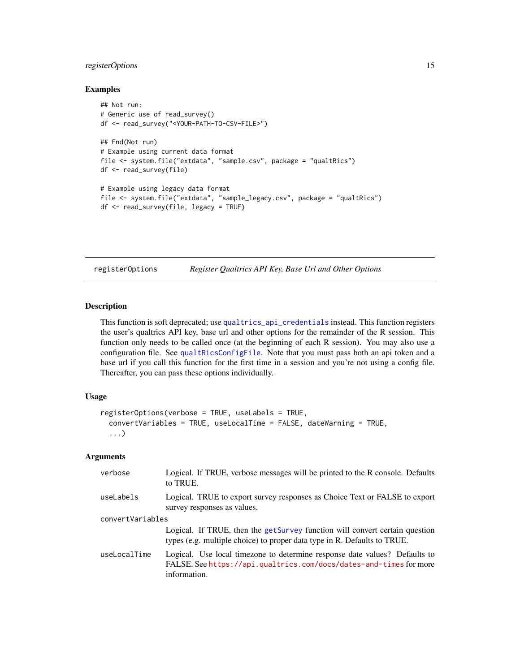# <span id="page-14-0"></span>registerOptions 15

#### Examples

```
## Not run:
# Generic use of read_survey()
df <- read_survey("<YOUR-PATH-TO-CSV-FILE>")
## End(Not run)
# Example using current data format
file <- system.file("extdata", "sample.csv", package = "qualtRics")
df <- read_survey(file)
# Example using legacy data format
file <- system.file("extdata", "sample_legacy.csv", package = "qualtRics")
df <- read_survey(file, legacy = TRUE)
```
<span id="page-14-1"></span>

registerOptions *Register Qualtrics API Key, Base Url and Other Options*

#### Description

This function is soft deprecated; use [qualtrics\\_api\\_credentials](#page-11-1) instead. This function registers the user's qualtrics API key, base url and other options for the remainder of the R session. This function only needs to be called once (at the beginning of each R session). You may also use a configuration file. See [qualtRicsConfigFile](#page-10-1). Note that you must pass both an api token and a base url if you call this function for the first time in a session and you're not using a config file. Thereafter, you can pass these options individually.

#### Usage

```
registerOptions(verbose = TRUE, useLabels = TRUE,
 convertVariables = TRUE, useLocalTime = FALSE, dateWarning = TRUE,
  ...)
```

| verbose          | Logical. If TRUE, verbose messages will be printed to the R console. Defaults<br>to TRUE.                                                                        |
|------------------|------------------------------------------------------------------------------------------------------------------------------------------------------------------|
| useLabels        | Logical. TRUE to export survey responses as Choice Text or FALSE to export<br>survey responses as values.                                                        |
| convertVariables |                                                                                                                                                                  |
|                  | Logical. If TRUE, then the getSurvey function will convert certain question<br>types (e.g. multiple choice) to proper data type in R. Defaults to TRUE.          |
| useLocalTime     | Logical. Use local timezone to determine response date values? Defaults to<br>FALSE. See https://api.qualtrics.com/docs/dates-and-times for more<br>information. |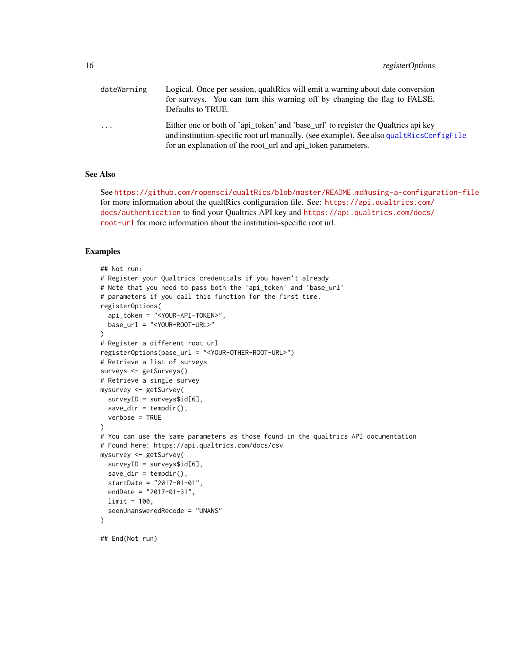<span id="page-15-0"></span>

| dateWarning | Logical. Once per session, qualtrics will emit a warning about date conversion           |  |
|-------------|------------------------------------------------------------------------------------------|--|
|             | for surveys. You can turn this warning off by changing the flag to FALSE.                |  |
|             | Defaults to TRUE.                                                                        |  |
| .           | Either one or both of 'api token' and 'base url' to register the Qualtrics api key       |  |
|             | and institution-specific root url manually. (see example). See also qual tRicsConfigFile |  |
|             | for an explanation of the root_url and api_token parameters.                             |  |

# See Also

See <https://github.com/ropensci/qualtRics/blob/master/README.md#using-a-configuration-file> for more information about the qualtRics configuration file. See: [https://api.qualtrics.com/](https://api.qualtrics.com/docs/authentication) [docs/authentication](https://api.qualtrics.com/docs/authentication) to find your Qualtrics API key and [https://api.qualtrics.com/docs/](https://api.qualtrics.com/docs/root-url) [root-url](https://api.qualtrics.com/docs/root-url) for more information about the institution-specific root url.

```
## Not run:
# Register your Qualtrics credentials if you haven't already
# Note that you need to pass both the 'api_token' and 'base_url'
# parameters if you call this function for the first time.
registerOptions(
  api_token = "<YOUR-API-TOKEN>",
  base_url = "<YOUR-ROOT-URL>"
)
# Register a different root url
registerOptions(base_url = "<YOUR-OTHER-ROOT-URL>")
# Retrieve a list of surveys
surveys <- getSurveys()
# Retrieve a single survey
mysurvey <- getSurvey(
  surveyID = surveys$id[6],save\_dir = tempdir(),verbose = TRUE
)
# You can use the same parameters as those found in the qualtrics API documentation
# Found here: https://api.qualtrics.com/docs/csv
mysurvey <- getSurvey(
  surveyID = surveys$id[6],save\_dir = tempdir(),startDate = "2017-01-01",
  endDate = "2017-01-31",
  limit = 100,
  seenUnansweredRecode = "UNANS"
)
## End(Not run)
```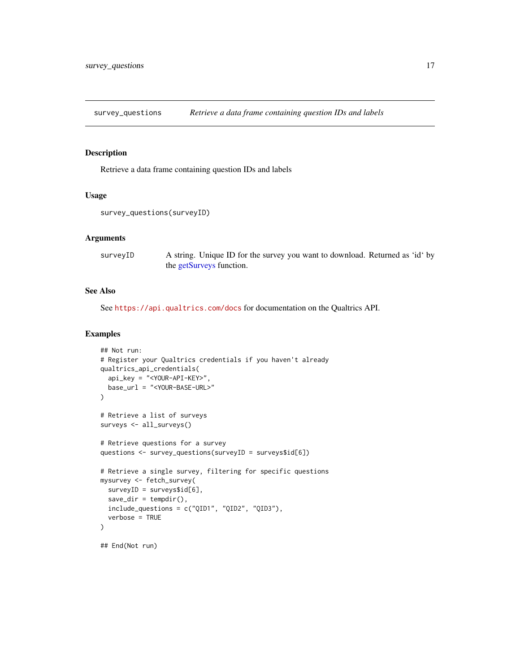<span id="page-16-1"></span><span id="page-16-0"></span>survey\_questions *Retrieve a data frame containing question IDs and labels*

#### Description

Retrieve a data frame containing question IDs and labels

# Usage

```
survey_questions(surveyID)
```
# Arguments

surveyID A string. Unique ID for the survey you want to download. Returned as 'id' by the [getSurveys](#page-8-1) function.

#### See Also

See <https://api.qualtrics.com/docs> for documentation on the Qualtrics API.

```
## Not run:
# Register your Qualtrics credentials if you haven't already
qualtrics_api_credentials(
 api_key = "<YOUR-API-KEY>",
 base_url = "<YOUR-BASE-URL>"
\mathcal{L}# Retrieve a list of surveys
surveys <- all_surveys()
# Retrieve questions for a survey
questions <- survey_questions(surveyID = surveys$id[6])
# Retrieve a single survey, filtering for specific questions
mysurvey <- fetch_survey(
 surveyID = surveys$id[6],
 save\_dir = tempdir(),include_questions = c("QID1", "QID2", "QID3"),
 verbose = TRUE
\mathcal{L}## End(Not run)
```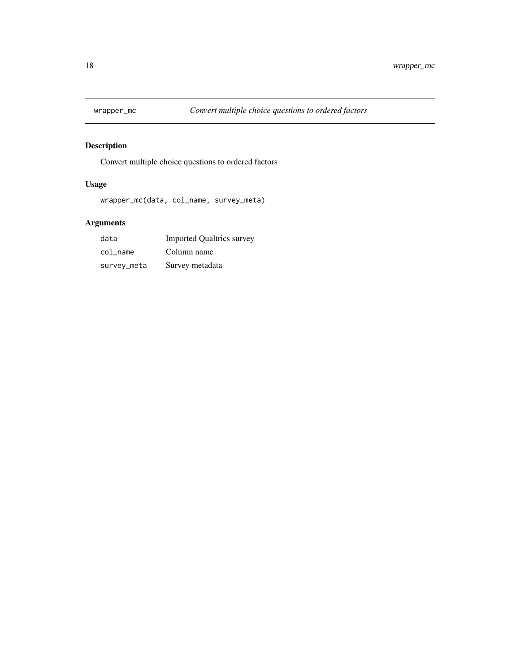<span id="page-17-0"></span>

# Description

Convert multiple choice questions to ordered factors

# Usage

wrapper\_mc(data, col\_name, survey\_meta)

| data        | <b>Imported Qualtrics survey</b> |
|-------------|----------------------------------|
| col name    | Column name                      |
| survey_meta | Survey metadata                  |